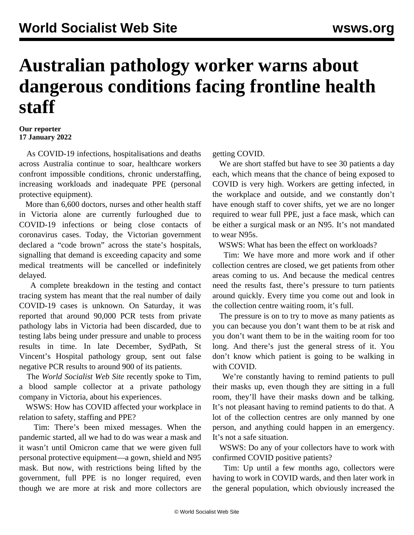## **Australian pathology worker warns about dangerous conditions facing frontline health staff**

## **Our reporter 17 January 2022**

 As COVID-19 infections, hospitalisations and deaths across Australia continue to soar, healthcare workers confront impossible conditions, chronic understaffing, increasing workloads and inadequate PPE (personal protective equipment).

 More than 6,600 doctors, nurses and other health staff in Victoria alone are currently furloughed due to COVID-19 infections or being close contacts of coronavirus cases. Today, the Victorian government declared a "code brown" across the state's hospitals, signalling that demand is exceeding capacity and some medical treatments will be cancelled or indefinitely delayed.

 A complete breakdown in the testing and contact tracing system has meant that the real number of daily COVID-19 cases is unknown. On Saturday, it was reported that around 90,000 PCR tests from private pathology labs in Victoria had been discarded, due to testing labs being under pressure and unable to process results in time. In late December, SydPath, St Vincent's Hospital pathology group, sent out false negative PCR results to around 900 of its patients.

 The *World Socialist Web Site* recently spoke to Tim, a blood sample collector at a private pathology company in Victoria, about his experiences.

 WSWS: How has COVID affected your workplace in relation to safety, staffing and PPE?

 Tim: There's been mixed messages. When the pandemic started, all we had to do was wear a mask and it wasn't until Omicron came that we were given full personal protective equipment—a gown, shield and N95 mask. But now, with restrictions being lifted by the government, full PPE is no longer required, even though we are more at risk and more collectors are

getting COVID.

 We are short staffed but have to see 30 patients a day each, which means that the chance of being exposed to COVID is very high. Workers are getting infected, in the workplace and outside, and we constantly don't have enough staff to cover shifts, yet we are no longer required to wear full PPE, just a face mask, which can be either a surgical mask or an N95. It's not mandated to wear N95s.

WSWS: What has been the effect on workloads?

 Tim: We have more and more work and if other collection centres are closed, we get patients from other areas coming to us. And because the medical centres need the results fast, there's pressure to turn patients around quickly. Every time you come out and look in the collection centre waiting room, it's full.

 The pressure is on to try to move as many patients as you can because you don't want them to be at risk and you don't want them to be in the waiting room for too long. And there's just the general stress of it. You don't know which patient is going to be walking in with COVID.

 We're constantly having to remind patients to pull their masks up, even though they are sitting in a full room, they'll have their masks down and be talking. It's not pleasant having to remind patients to do that. A lot of the collection centres are only manned by one person, and anything could happen in an emergency. It's not a safe situation.

 WSWS: Do any of your collectors have to work with confirmed COVID positive patients?

 Tim: Up until a few months ago, collectors were having to work in COVID wards, and then later work in the general population, which obviously increased the